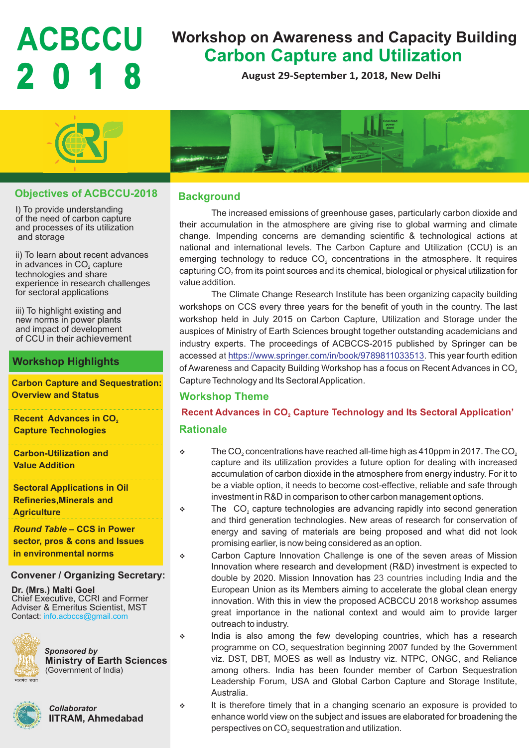# **2 0 1 8**

# **ACBCCU** Workshop on Awareness and Capacity Building<br>Carbon Capture and Utilization

**August 29-September 1, 2018, New Delhi**



# **Objectives of ACBCCU-2018**

I) To provide understanding of the need of carbon capture and processes of its utilization and storage

ii) To learn about recent advances in advances in CO $_{\tiny 2}$  capture technologies and share experience in research challenges for sectoral applications

iii) To highlight existing and new norms in power plants and impact of development of CCU in their achievement

# **Workshop Highlights**

**Carbon Capture and Sequestration: Overview and Status**

**Recent Advances in CO<sub>2</sub> Capture Technologies**

\_\_\_\_\_\_\_\_\_\_\_\_\_\_\_\_\_\_ **Carbon-Utilization and Value Addition**

**Sectoral Applications in Oil Refineries,Minerals and Agriculture**

### *Round Table* **– CCS in Power**

**sector, pros & cons and Issues in environmental norms** 

### **Convener / Organizing Secretary:**

**Dr. (Mrs.) Malti Goel**  Chief Executive, CCRI and Former Adviser & Emeritus Scientist, MST Contact: info.acbccs@gmail.com



*Sponsored by* **Ministry of Earth Sciences**  (Government of India)



*Collaborator* **IITRAM, Ahmedabad**



# **Background**

The increased emissions of greenhouse gases, particularly carbon dioxide and their accumulation in the atmosphere are giving rise to global warming and climate change. Impending concerns are demanding scientific & technological actions at national and international levels. The Carbon Capture and Utilization (CCU) is an emerging technology to reduce  $CO<sub>2</sub>$  concentrations in the atmosphere. It requires capturing  $CO<sub>2</sub>$  from its point sources and its chemical, biological or physical utilization for value addition.

The Climate Change Research Institute has been organizing capacity building workshops on CCS every three years for the benefit of youth in the country. The last workshop held in July 2015 on Carbon Capture, Utilization and Storage under the auspices of Ministry of Earth Sciences brought together outstanding academicians and industry experts. The proceedings of ACBCCS-2015 published by Springer can be accessed at https://www.springer.com/in/book/9789811033513. This year fourth edition of Awareness and Capacity Building Workshop has a focus on Recent Advances in CO<sub>2</sub> Capture Technology and Its Sectoral Application.

# **Workshop Theme**

**Rationale Recent Advances in CO, Capture Technology and Its Sectoral Application'** 

- $\div$  The CO<sub>2</sub> concentrations have reached all-time high as 410ppm in 2017. The CO<sub>2</sub> capture and its utilization provides a future option for dealing with increased accumulation of carbon dioxide in the atmosphere from energy industry. For it to be a viable option, it needs to become cost-effective, reliable and safe through investment in R&D in comparison to other carbon management options.
- $\bullet$  The CO<sub>2</sub> capture technologies are advancing rapidly into second generation and third generation technologies. New areas of research for conservation of energy and saving of materials are being proposed and what did not look promising earlier, is now being considered as an option.
- v Carbon Capture Innovation Challenge is one of the seven areas of Mission Innovation where research and development (R&D) investment is expected to double by 2020. Mission Innovation has 23 countries including India and the European Union as its Members aiming to accelerate the global clean energy innovation. With this in view the proposed ACBCCU 2018 workshop assumes great importance in the national context and would aim to provide larger outreach to industry.
- v India is also among the few developing countries, which has a research programme on  $CO<sub>2</sub>$  sequestration beginning 2007 funded by the Government viz. DST, DBT, MOES as well as Industry viz. NTPC, ONGC, and Reliance among others. India has been founder member of Carbon Sequestration Leadership Forum, USA and Global Carbon Capture and Storage Institute, Australia.
- v It is therefore timely that in a changing scenario an exposure is provided to enhance world view on the subject and issues are elaborated for broadening the perspectives on CO<sub>2</sub> sequestration and utilization.